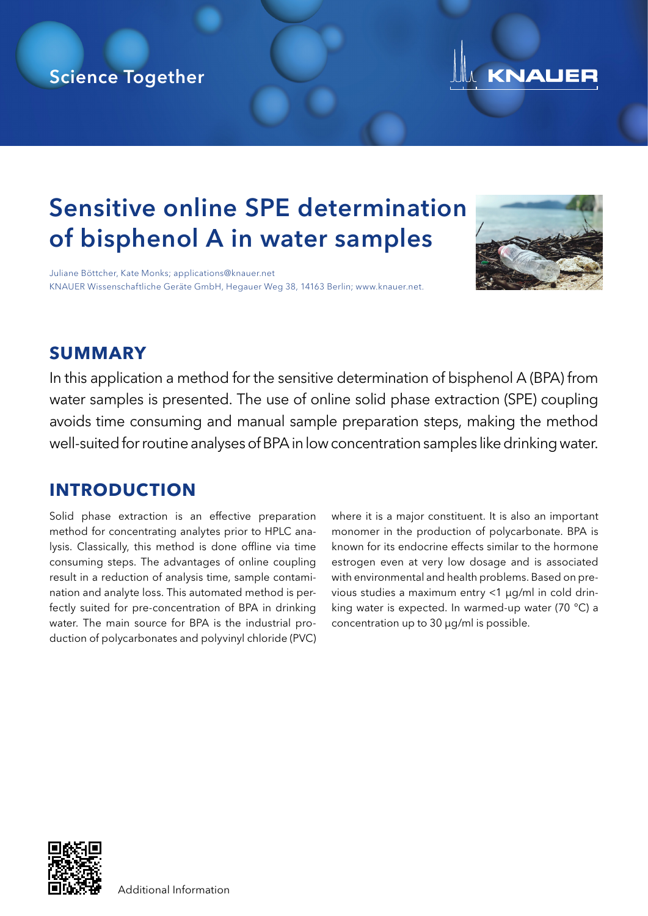## Science Together



# Sensitive online SPE determination of bisphenol A in water samples

Juliane Böttcher, Kate Monks; applications@knauer.net KNAUER Wissenschaftliche Geräte GmbH, Hegauer Weg 38, 14163 Berlin; www.knauer.net.



### **SUMMARY**

In this application a method for the sensitive determination of bisphenol A (BPA) from water samples is presented. The use of online solid phase extraction (SPE) coupling avoids time consuming and manual sample preparation steps, making the method well-suited for routine analyses of BPA in low concentration samples like drinking water.

### **INTRODUCTION**

Solid phase extraction is an effective preparation method for concentrating analytes prior to HPLC analysis. Classically, this method is done offline via time consuming steps. The advantages of online coupling result in a reduction of analysis time, sample contamination and analyte loss. This automated method is perfectly suited for pre-concentration of BPA in drinking water. The main source for BPA is the industrial production of polycarbonates and polyvinyl chloride (PVC)

where it is a major constituent. It is also an important monomer in the production of polycarbonate. BPA is known for its endocrine effects similar to the hormone estrogen even at very low dosage and is associated with environmental and health problems. Based on previous studies a maximum entry <1 μg/ml in cold drinking water is expected. In warmed-up water (70 °C) a concentration up to 30 μg/ml is possible.

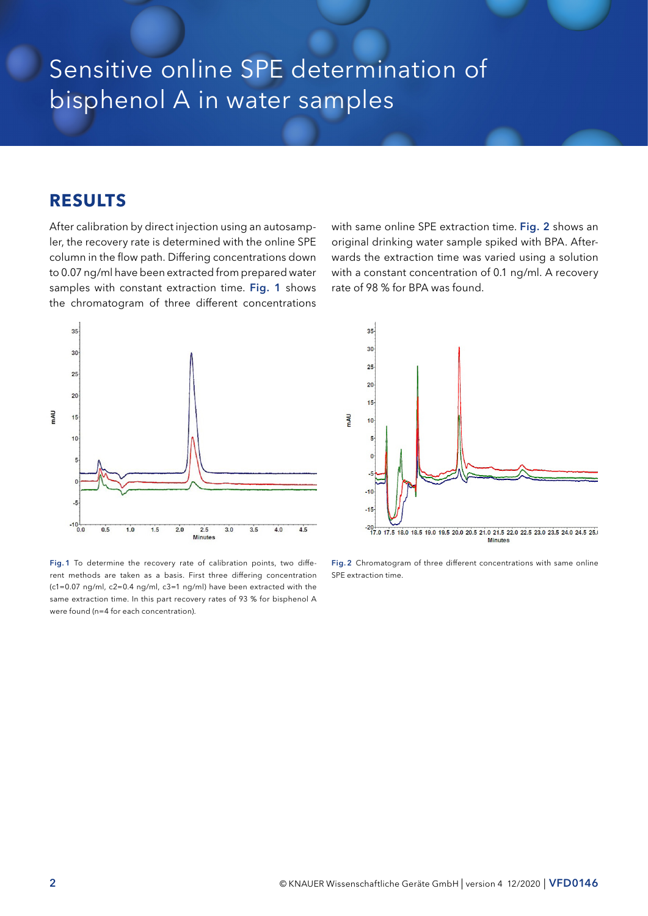## Sensitive online SPE determination of bisphenol A in water samples

#### **RESULTS**

After calibration by direct injection using an autosampler, the recovery rate is determined with the online SPE column in the flow path. Differing concentrations down to 0.07 ng/ml have been extracted from prepared water samples with constant extraction time. Fig. 1 shows the chromatogram of three different concentrations



Fig. 1 To determine the recovery rate of calibration points, two different methods are taken as a basis. First three differing concentration (c1=0.07 ng/ml, c2=0.4 ng/ml, c3=1 ng/ml) have been extracted with the same extraction time. In this part recovery rates of 93 % for bisphenol A were found (n=4 for each concentration).

with same online SPE extraction time. Fig. 2 shows an original drinking water sample spiked with BPA. Afterwards the extraction time was varied using a solution with a constant concentration of 0.1 ng/ml. A recovery rate of 98 % for BPA was found.



Fig. 2 Chromatogram of three different concentrations with same online SPE extraction time.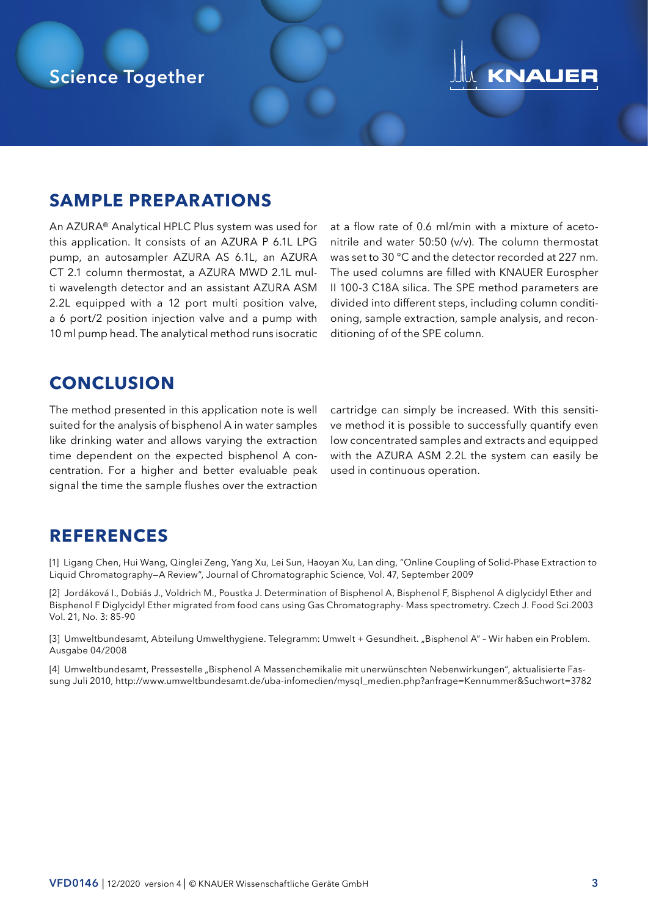# KNAUER

#### **SAMPLE PREPARATIONS**

An AZURA® Analytical HPLC Plus system was used for this application. It consists of an AZURA P 6.1L LPG pump, an autosampler AZURA AS 6.1L, an AZURA CT 2.1 column thermostat, a AZURA MWD 2.1L multi wavelength detector and an assistant AZURA ASM 2.2L equipped with a 12 port multi position valve, a 6 port/2 position injection valve and a pump with 10 ml pump head. The analytical method runs isocratic

at a flow rate of 0.6 ml/min with a mixture of acetonitrile and water 50:50 (v/v). The column thermostat was set to 30 °C and the detector recorded at 227 nm. The used columns are filled with KNAUER Eurospher II 100-3 C18A silica. The SPE method parameters are divided into different steps, including column conditioning, sample extraction, sample analysis, and reconditioning of of the SPE column.

### **CONCLUSION**

The method presented in this application note is well suited for the analysis of bisphenol A in water samples like drinking water and allows varying the extraction time dependent on the expected bisphenol A concentration. For a higher and better evaluable peak signal the time the sample flushes over the extraction

cartridge can simply be increased. With this sensitive method it is possible to successfully quantify even low concentrated samples and extracts and equipped with the AZURA ASM 2.2L the system can easily be used in continuous operation.

#### **REFERENCES**

[1] Ligang Chen, Hui Wang, Qinglei Zeng, Yang Xu, Lei Sun, Haoyan Xu, Lan ding, "Online Coupling of Solid-Phase Extraction to Liquid Chromatography—A Review", Journal of Chromatographic Science, Vol. 47, September 2009

[2] Jordáková I., Dobiás J., Voldrich M., Poustka J. Determination of Bisphenol A, Bisphenol F, Bisphenol A diglycidyl Ether and Bisphenol F Diglycidyl Ether migrated from food cans using Gas Chromatography- Mass spectrometry. Czech J. Food Sci.2003 Vol. 21, No. 3: 85-90

[3] Umweltbundesamt, Abteilung Umwelthygiene. Telegramm: Umwelt + Gesundheit. "Bisphenol A" - Wir haben ein Problem. Ausgabe 04/2008

[4] Umweltbundesamt, Pressestelle "Bisphenol A Massenchemikalie mit unerwünschten Nebenwirkungen", aktualisierte Fassung Juli 2010, http://www.umweltbundesamt.de/uba-infomedien/mysql\_medien.php?anfrage=Kennummer&Suchwort=3782